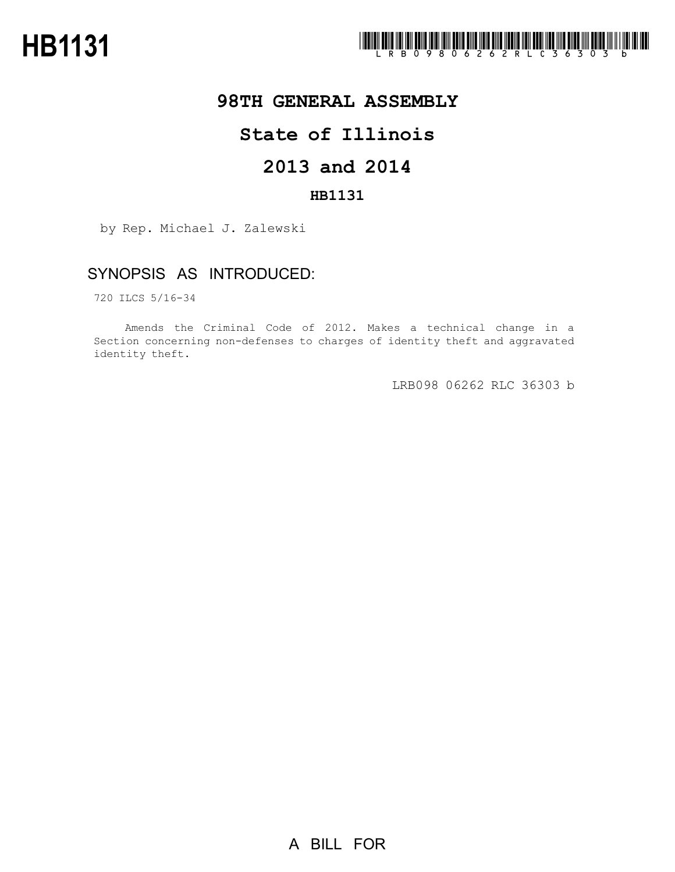

# **98TH GENERAL ASSEMBLY**

# **State of Illinois**

# **2013 and 2014**

### **HB1131**

by Rep. Michael J. Zalewski

## SYNOPSIS AS INTRODUCED:

720 ILCS 5/16-34

Amends the Criminal Code of 2012. Makes a technical change in a Section concerning non-defenses to charges of identity theft and aggravated identity theft.

LRB098 06262 RLC 36303 b